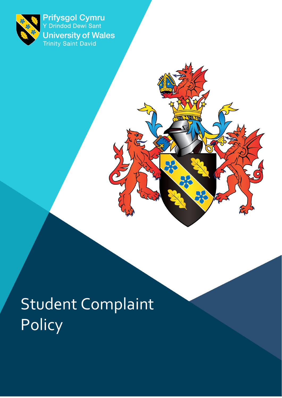

<span id="page-0-0"></span>Prifysgol Cymru<br>Y Drindod Dewi Sant **University of Wales**<br>Trinity Saint David

Student Complaint **Policy** 

**DO**<br>22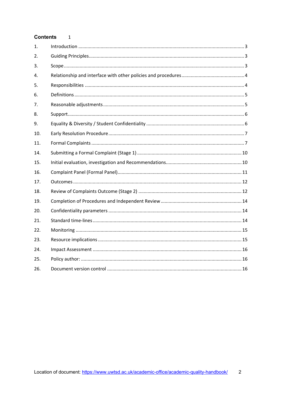#### Contents 1

| 1.  |  |
|-----|--|
| 2.  |  |
| 3.  |  |
| 4.  |  |
| 5.  |  |
| 6.  |  |
| 7.  |  |
| 8.  |  |
| 9.  |  |
| 10. |  |
| 11. |  |
| 14. |  |
| 15. |  |
| 16. |  |
| 17. |  |
| 18. |  |
| 19. |  |
| 20. |  |
| 21. |  |
| 22. |  |
| 23. |  |
| 24. |  |
| 25. |  |
| 26. |  |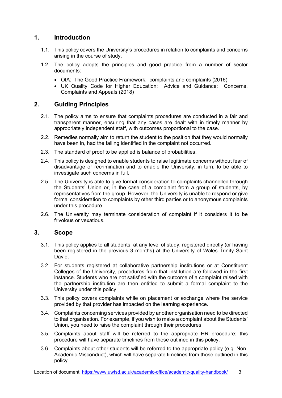# <span id="page-2-0"></span>**1. Introduction**

- 1.1. This policy covers the University's procedures in relation to complaints and concerns arising in the course of study.
- 1.2. The policy adopts the principles and good practice from a number of sector documents:
	- OIA: The Good Practice Framework: complaints and complaints (2016)
	- UK Quality Code for Higher Education: Advice and Guidance: Concerns, Complaints and Appeals (2018)

# <span id="page-2-1"></span>**2. Guiding Principles**

- 2.1. The policy aims to ensure that complaints procedures are conducted in a fair and transparent manner, ensuring that any cases are dealt with in timely manner by appropriately independent staff, with outcomes proportional to the case.
- 2.2. Remedies normally aim to return the student to the position that they would normally have been in, had the failing identified in the complaint not occurred.
- 2.3. The standard of proof to be applied is balance of probabilities.
- 2.4. This policy is designed to enable students to raise legitimate concerns without fear of disadvantage or recrimination and to enable the University, in turn, to be able to investigate such concerns in full.
- 2.5. The University is able to give formal consideration to complaints channelled through the Students' Union or, in the case of a complaint from a group of students, by representatives from the group. However, the University is unable to respond or give formal consideration to complaints by other third parties or to anonymous complaints under this procedure.
- 2.6. The University may terminate consideration of complaint if it considers it to be frivolous or vexatious.

#### <span id="page-2-2"></span>**3. Scope**

- 3.1. This policy applies to all students, at any level of study, registered directly (or having been registered in the previous 3 months) at the University of Wales Trinity Saint David.
- 3.2. For students registered at collaborative partnership institutions or at Constituent Colleges of the University, procedures from that institution are followed in the first instance. Students who are not satisfied with the outcome of a complaint raised with the partnership institution are then entitled to submit a formal complaint to the University under this policy.
- 3.3. This policy covers complaints while on placement or exchange where the service provided by that provider has impacted on the learning experience.
- 3.4. Complaints concerning services provided by another organisation need to be directed to that organisation. For example, if you wish to make a complaint about the Students' Union, you need to raise the complaint through their procedures.
- 3.5. Complaints about staff will be referred to the appropriate HR procedure; this procedure will have separate timelines from those outlined in this policy.
- 3.6. Complaints about other students will be referred to the appropriate policy (e.g. Non-Academic Misconduct), which will have separate timelines from those outlined in this policy.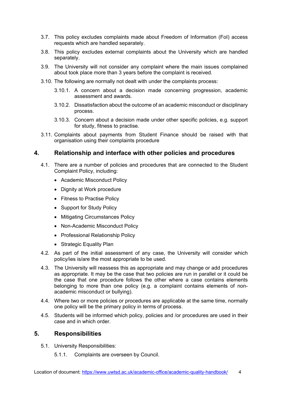- 3.7. This policy excludes complaints made about Freedom of Information (FoI) access requests which are handled separately.
- 3.8. This policy excludes external complaints about the University which are handled separately.
- 3.9. The University will not consider any complaint where the main issues complained about took place more than 3 years before the complaint is received.
- 3.10. The following are normally not dealt with under the complaints process:
	- 3.10.1. A concern about a decision made concerning progression, academic assessment and awards.
	- 3.10.2. Dissatisfaction about the outcome of an academic misconduct or disciplinary process.
	- 3.10.3. Concern about a decision made under other specific policies, e.g. support for study, fitness to practise.
- 3.11. Complaints about payments from Student Finance should be raised with that organisation using their complaints procedure

### <span id="page-3-0"></span>**4. Relationship and interface with other policies and procedures**

- 4.1. There are a number of policies and procedures that are connected to the Student Complaint Policy, including:
	- Academic Misconduct Policy
	- Dignity at Work procedure
	- Fitness to Practise Policy
	- Support for Study Policy
	- Mitigating Circumstances Policy
	- Non-Academic Misconduct Policy
	- Professional Relationship Policy
	- Strategic Equality Plan
- 4.2. As part of the initial assessment of any case, the University will consider which policy/ies is/are the most appropriate to be used.
- 4.3. The University will reassess this as appropriate and may change or add procedures as appropriate. It may be the case that two policies are run in parallel or it could be the case that one procedure follows the other where a case contains elements belonging to more than one policy (e.g. a complaint contains elements of nonacademic misconduct or bullying).
- 4.4. Where two or more policies or procedures are applicable at the same time, normally one policy will be the primary policy in terms of process.
- 4.5. Students will be informed which policy, policies and /or procedures are used in their case and in which order.

#### <span id="page-3-1"></span>**5. Responsibilities**

- 5.1. University Responsibilities:
	- 5.1.1. Complaints are overseen by Council.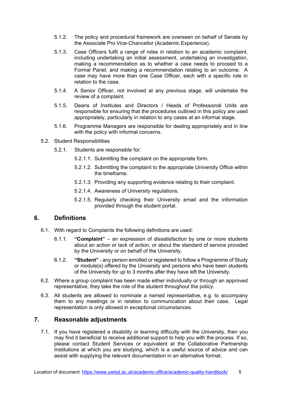- 5.1.2. The policy and procedural framework are overseen on behalf of Senate by the Associate Pro Vice-Chancellor (Academic Experience).
- 5.1.3. Case Officers fulfil a range of roles in relation to an academic complaint, including undertaking an initial assessment, undertaking an investigation, making a recommendation as to whether a case needs to proceed to a Formal Panel, and making a recommendation relating to an outcome. A case may have more than one Case Officer, each with a specific role in relation to the case.
- 5.1.4. A Senior Officer, not involved at any previous stage, will undertake the review of a complaint.
- 5.1.5. Deans of Institutes and Directors / Heads of Professional Units are responsible for ensuring that the procedures outlined in this policy are used appropriately, particularly in relation to any cases at an informal stage.
- 5.1.6. Programme Managers are responsible for dealing appropriately and in line with the policy with informal concerns.
- 5.2. Student Responsibilities
	- 5.2.1. Students are responsible for:
		- 5.2.1.1. Submitting the complaint on the appropriate form.
		- 5.2.1.2. Submitting the complaint to the appropriate University Office within the timeframe.
		- 5.2.1.3. Providing any supporting evidence relating to their complaint.
		- 5.2.1.4. Awareness of University regulations.
		- 5.2.1.5. Regularly checking their University email and the information provided through the student portal.

# <span id="page-4-0"></span>**6. Definitions**

- 6.1. With regard to Complaints the following definitions are used:
	- 6.1.1. **"Complaint"** an expression of dissatisfaction by one or more students about an action or lack of action, or about the standard of service provided by the University or on behalf of the University.
	- 6.1.2. **"Student"** any person enrolled or registered to follow a Programme of Study or module(s) offered by the University and persons who have been students of the University for up to 3 months after they have left the University.
- 6.2. Where a group complaint has been made either individually or through an approved representative, they take the role of the student throughout the policy.
- 6.3. All students are allowed to nominate a named representative, e.g. to accompany them to any meetings or in relation to communication about their case. Legal representation is only allowed in exceptional circumstances.

### <span id="page-4-1"></span>**7. Reasonable adjustments**

7.1. If you have registered a disability or learning difficulty with the University, then you may find it beneficial to receive additional support to help you with the process. If so, please contact Student Services or equivalent at the Collaborative Partnership Institutions at which you are studying, which is a useful source of advice and can assist with supplying the relevant documentation in an alternative format.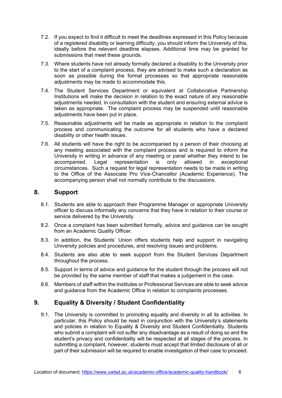- 7.2. If you expect to find it difficult to meet the deadlines expressed in this Policy because of a registered disability or learning difficulty, you should inform the University of this, ideally before the relevant deadline elapses. Additional time may be granted for submissions that meet these grounds.
- 7.3. Where students have not already formally declared a disability to the University prior to the start of a complaint process, they are advised to make such a declaration as soon as possible during the formal processes so that appropriate reasonable adjustments may be made to accommodate this.
- 7.4. The Student Services Department or equivalent at Collaborative Partnership Institutions will make the decision in relation to the exact nature of any reasonable adjustments needed, in consultation with the student and ensuring external advice is taken as appropriate. The complaint process may be suspended until reasonable adiustments have been put in place.
- 7.5. Reasonable adjustments will be made as appropriate in relation to the complaint process and communicating the outcome for all students who have a declared disability or other health issues.
- 7.6. All students will have the right to be accompanied by a person of their choosing at any meeting associated with the complaint process and is required to inform the University in writing in advance of any meeting or panel whether they intend to be accompanied. Legal representation is only allowed in exceptional circumstances. Such a request for legal representation needs to be made in writing to the Office of the Associate Pro Vice-Chancellor (Academic Experience). The accompanying person shall not normally contribute to the discussions.

# <span id="page-5-0"></span>**8. Support**

- 8.1. Students are able to approach their Programme Manager or appropriate University officer to discuss informally any concerns that they have in relation to their course or service delivered by the University.
- 8.2. Once a complaint has been submitted formally, advice and guidance can be sought from an Academic Quality Officer.
- 8.3. In addition, the Students' Union offers students help and support in navigating University policies and procedures, and resolving issues and problems.
- 8.4. Students are also able to seek support from the Student Services Department throughout the process.
- 8.5. Support in terms of advice and guidance for the student through the process will not be provided by the same member of staff that makes a judgement in the case.
- 8.6. Members of staff within the Institutes or Professional Services are able to seek advice and guidance from the Academic Office in relation to complaints processes.

# <span id="page-5-1"></span>**9. Equality & Diversity / Student Confidentiality**

9.1. The University is committed to promoting equality and diversity in all its activities. In particular, this Policy should be read in conjunction with the University's statements and policies in relation to Equality & Diversity and Student Confidentiality. Students who submit a complaint will not suffer any disadvantage as a result of doing so and the student's privacy and confidentiality will be respected at all stages of the process. In submitting a complaint, however, students must accept that limited disclosure of all or part of their submission will be required to enable investigation of their case to proceed.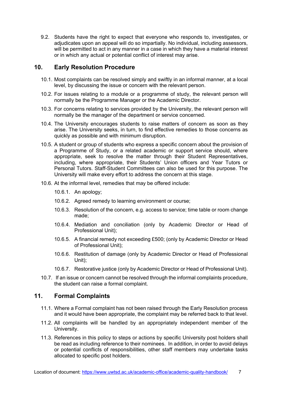9.2. Students have the right to expect that everyone who responds to, investigates, or adjudicates upon an appeal will do so impartially. No individual, including assessors, will be permitted to act in any manner in a case in which they have a material interest or in which any actual or potential conflict of interest may arise.

### <span id="page-6-0"></span>**10. Early Resolution Procedure**

- 10.1. Most complaints can be resolved simply and swiftly in an informal manner, at a local level, by discussing the issue or concern with the relevant person.
- 10.2. For issues relating to a module or a programme of study, the relevant person will normally be the Programme Manager or the Academic Director.
- 10.3. For concerns relating to services provided by the University, the relevant person will normally be the manager of the department or service concerned.
- 10.4. The University encourages students to raise matters of concern as soon as they arise. The University seeks, in turn, to find effective remedies to those concerns as quickly as possible and with minimum disruption.
- 10.5. A student or group of students who express a specific concern about the provision of a Programme of Study, or a related academic or support service should, where appropriate, seek to resolve the matter through their Student Representatives, including, where appropriate, their Students' Union officers and Year Tutors or Personal Tutors. Staff-Student Committees can also be used for this purpose. The University will make every effort to address the concern at this stage.
- 10.6. At the informal level, remedies that may be offered include:
	- 10.6.1. An apology;
	- 10.6.2. Agreed remedy to learning environment or course;
	- 10.6.3. Resolution of the concern, e.g. access to service; time table or room change made;
	- 10.6.4. Mediation and conciliation (only by Academic Director or Head of Professional Unit);
	- 10.6.5. A financial remedy not exceeding £500; (only by Academic Director or Head of Professional Unit);
	- 10.6.6. Restitution of damage (only by Academic Director or Head of Professional Unit);
	- 10.6.7. Restorative justice (only by Academic Director or Head of Professional Unit).
- 10.7. If an issue or concern cannot be resolved through the informal complaints procedure, the student can raise a formal complaint.

### <span id="page-6-1"></span>**11. Formal Complaints**

- 11.1. Where a Formal complaint has not been raised through the Early Resolution process and it would have been appropriate, the complaint may be referred back to that level.
- 11.2. All complaints will be handled by an appropriately independent member of the University.
- 11.3. References in this policy to steps or actions by specific University post holders shall be read as including reference to their nominees. In addition, in order to avoid delays or potential conflicts of responsibilities, other staff members may undertake tasks allocated to specific post holders.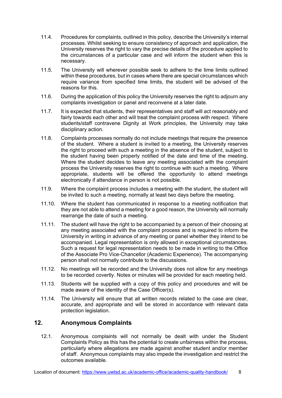- 11.4. Procedures for complaints, outlined in this policy, describe the University's internal processes. Whilst seeking to ensure consistency of approach and application, the University reserves the right to vary the precise details of the procedure applied to the circumstances of a particular case and will inform the student when this is necessary.
- 11.5. The University will wherever possible seek to adhere to the time limits outlined within these procedures, but in cases where there are special circumstances which require variance from specified time limits, the student will be advised of the reasons for this.
- 11.6. During the application of this policy the University reserves the right to adjourn any complaints investigation or panel and reconvene at a later date.
- 11.7. It is expected that students, their representatives and staff will act reasonably and fairly towards each other and will treat the complaint process with respect. Where students/staff contravene Dignity at Work principles, the University may take disciplinary action.
- 11.8. Complaints processes normally do not include meetings that require the presence of the student. Where a student is invited to a meeting, the University reserves the right to proceed with such a meeting in the absence of the student, subject to the student having been properly notified of the date and time of the meeting. Where the student decides to leave any meeting associated with the complaint process the University reserves the right to continue with such a meeting. Where appropriate, students will be offered the opportunity to attend meetings electronically if attendance in person is not possible.
- 11.9. Where the complaint process includes a meeting with the student, the student will be invited to such a meeting, normally at least two days before the meeting.
- 11.10. Where the student has communicated in response to a meeting notification that they are not able to attend a meeting for a good reason, the University will normally rearrange the date of such a meeting.
- 11.11. The student will have the right to be accompanied by a person of their choosing at any meeting associated with the complaint process and is required to inform the University in writing in advance of any meeting or panel whether they intend to be accompanied. Legal representation is only allowed in exceptional circumstances. Such a request for legal representation needs to be made in writing to the Office of the Associate Pro Vice-Chancellor (Academic Experience). The accompanying person shall not normally contribute to the discussions.
- 11.12. No meetings will be recorded and the University does not allow for any meetings to be recorded covertly. Notes or minutes will be provided for each meeting held.
- 11.13. Students will be supplied with a copy of this policy and procedures and will be made aware of the identity of the Case Officer(s).
- 11.14. The University will ensure that all written records related to the case are clear, accurate, and appropriate and will be stored in accordance with relevant data protection legislation.

# **12. Anonymous Complaints**

12.1. Anonymous complaints will not normally be dealt with under the Student Complaints Policy as this has the potential to create unfairness within the process, particularly where allegations are made against another student and/or member of staff. Anonymous complaints may also impede the investigation and restrict the outcomes available.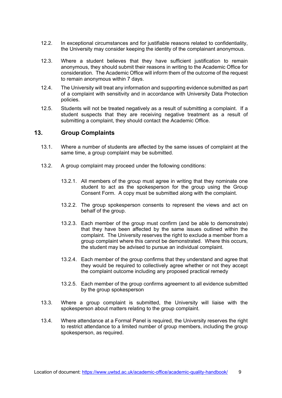- 12.2. In exceptional circumstances and for justifiable reasons related to confidentiality, the University may consider keeping the identity of the complainant anonymous.
- 12.3. Where a student believes that they have sufficient justification to remain anonymous, they should submit their reasons in writing to the Academic Office for consideration. The Academic Office will inform them of the outcome of the request to remain anonymous within 7 days.
- 12.4. The University will treat any information and supporting evidence submitted as part of a complaint with sensitivity and in accordance with University Data Protection policies.
- 12.5. Students will not be treated negatively as a result of submitting a complaint. If a student suspects that they are receiving negative treatment as a result of submitting a complaint, they should contact the Academic Office.

### **13. Group Complaints**

- 13.1. Where a number of students are affected by the same issues of complaint at the same time, a group complaint may be submitted.
- 13.2. A group complaint may proceed under the following conditions:
	- 13.2.1. All members of the group must agree in writing that they nominate one student to act as the spokesperson for the group using the Group Consent Form. A copy must be submitted along with the complaint.
	- 13.2.2. The group spokesperson consents to represent the views and act on behalf of the group.
	- 13.2.3. Each member of the group must confirm (and be able to demonstrate) that they have been affected by the same issues outlined within the complaint. The University reserves the right to exclude a member from a group complaint where this cannot be demonstrated. Where this occurs, the student may be advised to pursue an individual complaint.
	- 13.2.4. Each member of the group confirms that they understand and agree that they would be required to collectively agree whether or not they accept the complaint outcome including any proposed practical remedy
	- 13.2.5. Each member of the group confirms agreement to all evidence submitted by the group spokesperson
- 13.3. Where a group complaint is submitted, the University will liaise with the spokesperson about matters relating to the group complaint.
- 13.4. Where attendance at a Formal Panel is required, the University reserves the right to restrict attendance to a limited number of group members, including the group spokesperson, as required.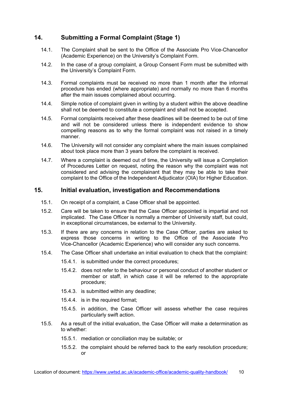# <span id="page-9-0"></span>**14. Submitting a Formal Complaint (Stage 1)**

- 14.1. The Complaint shall be sent to the Office of the Associate Pro Vice-Chancellor (Academic Experience) on the University's Complaint Form.
- 14.2. In the case of a group complaint, a Group Consent Form must be submitted with the University's Complaint Form.
- 14.3. Formal complaints must be received no more than 1 month after the informal procedure has ended (where appropriate) and normally no more than 6 months after the main issues complained about occurring.
- 14.4. Simple notice of complaint given in writing by a student within the above deadline shall not be deemed to constitute a complaint and shall not be accepted.
- 14.5. Formal complaints received after these deadlines will be deemed to be out of time and will not be considered unless there is independent evidence to show compelling reasons as to why the formal complaint was not raised in a timely manner.
- 14.6. The University will not consider any complaint where the main issues complained about took place more than 3 years before the complaint is received.
- 14.7. Where a complaint is deemed out of time, the University will issue a Completion of Procedures Letter on request, noting the reason why the complaint was not considered and advising the complainant that they may be able to take their complaint to the Office of the Independent Adjudicator (OIA) for Higher Education.

#### <span id="page-9-1"></span>**15. Initial evaluation, investigation and Recommendations**

- 15.1. On receipt of a complaint, a Case Officer shall be appointed.
- 15.2. Care will be taken to ensure that the Case Officer appointed is impartial and not implicated. The Case Officer is normally a member of University staff, but could, in exceptional circumstances, be external to the University.
- 15.3. If there are any concerns in relation to the Case Officer, parties are asked to express those concerns in writing to the Office of the Associate Pro Vice-Chancellor (Academic Experience) who will consider any such concerns.
- 15.4. The Case Officer shall undertake an initial evaluation to check that the complaint:
	- 15.4.1. is submitted under the correct procedures;
	- 15.4.2. does not refer to the behaviour or personal conduct of another student or member or staff, in which case it will be referred to the appropriate procedure;
	- 15.4.3. is submitted within any deadline;
	- 15.4.4. is in the required format;
	- 15.4.5. in addition, the Case Officer will assess whether the case requires particularly swift action.
- 15.5. As a result of the initial evaluation, the Case Officer will make a determination as to whether:
	- 15.5.1. mediation or conciliation may be suitable; or
	- 15.5.2. the complaint should be referred back to the early resolution procedure; or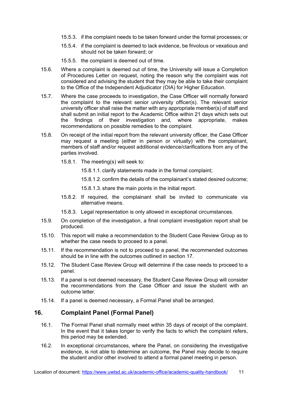- 15.5.3. if the complaint needs to be taken forward under the formal processes; or
- 15.5.4. if the complaint is deemed to lack evidence, be frivolous or vexatious and should not be taken forward; or
- 15.5.5. the complaint is deemed out of time.
- 15.6. Where a complaint is deemed out of time, the University will issue a Completion of Procedures Letter on request, noting the reason why the complaint was not considered and advising the student that they may be able to take their complaint to the Office of the Independent Adjudicator (OIA) for Higher Education.
- 15.7. Where the case proceeds to investigation, the Case Officer will normally forward the complaint to the relevant senior university officer(s). The relevant senior university officer shall raise the matter with any appropriate member(s) of staff and shall submit an initial report to the Academic Office within 21 days which sets out the findings of their investigation and, where appropriate, makes recommendations on possible remedies to the complaint.
- 15.8. On receipt of the initial report from the relevant university officer, the Case Officer may request a meeting (either in person or virtually) with the complainant, members of staff and/or request additional evidence/clarifications from any of the parties involved.
	- 15.8.1. The meeting(s) will seek to:
		- 15.8.1.1. clarify statements made in the formal complaint;
		- 15.8.1.2. confirm the details of the complainant's stated desired outcome;
		- 15.8.1.3. share the main points in the initial report.
	- 15.8.2. If required, the complainant shall be invited to communicate via alternative means.
	- 15.8.3. Legal representation is only allowed in exceptional circumstances.
- 15.9. On completion of the investigation, a final complaint investigation report shall be produced.
- 15.10. This report will make a recommendation to the Student Case Review Group as to whether the case needs to proceed to a panel.
- 15.11. If the recommendation is not to proceed to a panel, the recommended outcomes should be in line with the outcomes outlined in section 17.
- 15.12. The Student Case Review Group will determine if the case needs to proceed to a panel.
- 15.13. If a panel is not deemed necessary, the Student Case Review Group will consider the recommendations from the Case Officer and issue the student with an outcome letter.
- 15.14. If a panel is deemed necessary, a Formal Panel shall be arranged.

# <span id="page-10-0"></span>**16. Complaint Panel (Formal Panel)**

- 16.1. The Formal Panel shall normally meet within 35 days of receipt of the complaint. In the event that it takes longer to verify the facts to which the complaint refers, this period may be extended.
- 16.2. In exceptional circumstances, where the Panel, on considering the investigative evidence, is not able to determine an outcome, the Panel may decide to require the student and/or other involved to attend a formal panel meeting in person.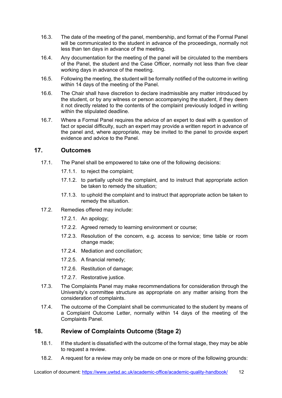- 16.3. The date of the meeting of the panel, membership, and format of the Formal Panel will be communicated to the student in advance of the proceedings, normally not less than ten days in advance of the meeting.
- 16.4. Any documentation for the meeting of the panel will be circulated to the members of the Panel, the student and the Case Officer, normally not less than five clear working days in advance of the meeting.
- 16.5. Following the meeting, the student will be formally notified of the outcome in writing within 14 days of the meeting of the Panel.
- 16.6. The Chair shall have discretion to declare inadmissible any matter introduced by the student, or by any witness or person accompanying the student, if they deem it not directly related to the contents of the complaint previously lodged in writing within the stipulated deadline.
- 16.7. Where a Formal Panel requires the advice of an expert to deal with a question of fact or special difficulty, such an expert may provide a written report in advance of the panel and, where appropriate, may be invited to the panel to provide expert evidence and advice to the Panel.

# <span id="page-11-0"></span>**17. Outcomes**

- 17.1. The Panel shall be empowered to take one of the following decisions:
	- 17.1.1. to reject the complaint;
	- 17.1.2. to partially uphold the complaint, and to instruct that appropriate action be taken to remedy the situation;
	- 17.1.3. to uphold the complaint and to instruct that appropriate action be taken to remedy the situation.
- 17.2. Remedies offered may include:
	- 17.2.1. An apology;
	- 17.2.2. Agreed remedy to learning environment or course;
	- 17.2.3. Resolution of the concern, e.g. access to service; time table or room change made;
	- 17.2.4. Mediation and conciliation;
	- 17.2.5. A financial remedy;
	- 17.2.6. Restitution of damage;
	- 17.2.7. Restorative justice.
- 17.3. The Complaints Panel may make recommendations for consideration through the University's committee structure as appropriate on any matter arising from the consideration of complaints.
- 17.4. The outcome of the Complaint shall be communicated to the student by means of a Complaint Outcome Letter, normally within 14 days of the meeting of the Complaints Panel.

# <span id="page-11-1"></span>**18. Review of Complaints Outcome (Stage 2)**

- 18.1. If the student is dissatisfied with the outcome of the formal stage, they may be able to request a review.
- 18.2. A request for a review may only be made on one or more of the following grounds: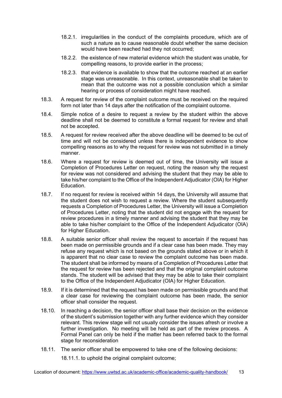- 18.2.1. irregularities in the conduct of the complaints procedure, which are of such a nature as to cause reasonable doubt whether the same decision would have been reached had they not occurred;
- 18.2.2. the existence of new material evidence which the student was unable, for compelling reasons, to provide earlier in the process;
- 18.2.3. that evidence is available to show that the outcome reached at an earlier stage was unreasonable. In this context, unreasonable shall be taken to mean that the outcome was not a possible conclusion which a similar hearing or process of consideration might have reached.
- 18.3. A request for review of the complaint outcome must be received on the required form not later than 14 days after the notification of the complaint outcome.
- 18.4. Simple notice of a desire to request a review by the student within the above deadline shall not be deemed to constitute a formal request for review and shall not be accepted.
- 18.5. A request for review received after the above deadline will be deemed to be out of time and will not be considered unless there is independent evidence to show compelling reasons as to why the request for review was not submitted in a timely manner.
- 18.6. Where a request for review is deemed out of time, the University will issue a Completion of Procedures Letter on request, noting the reason why the request for review was not considered and advising the student that they may be able to take his/her complaint to the Office of the Independent Adjudicator (OIA) for Higher Education.
- 18.7. If no request for review is received within 14 days, the University will assume that the student does not wish to request a review. Where the student subsequently requests a Completion of Procedures Letter, the University will issue a Completion of Procedures Letter, noting that the student did not engage with the request for review procedures in a timely manner and advising the student that they may be able to take his/her complaint to the Office of the Independent Adjudicator (OIA) for Higher Education.
- 18.8. A suitable senior officer shall review the request to ascertain if the request has been made on permissible grounds and if a clear case has been made. They may refuse any request which is not based on the grounds stated above or in which it is apparent that no clear case to review the complaint outcome has been made. The student shall be informed by means of a Completion of Procedures Letter that the request for review has been rejected and that the original complaint outcome stands. The student will be advised that they may be able to take their complaint to the Office of the Independent Adjudicator (OIA) for Higher Education.
- 18.9. If it is determined that the request has been made on permissible grounds and that a clear case for reviewing the complaint outcome has been made, the senior officer shall consider the request.
- 18.10. In reaching a decision, the senior officer shall base their decision on the evidence of the student's submission together with any further evidence which they consider relevant. This review stage will not usually consider the issues afresh or involve a further investigation. No meeting will be held as part of the review process. A Formal Panel can only be held if the matter has been referred back to the formal stage for reconsideration
- 18.11. The senior officer shall be empowered to take one of the following decisions:

18.11.1. to uphold the original complaint outcome;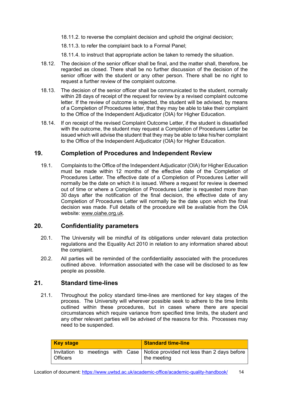18.11.2. to reverse the complaint decision and uphold the original decision;

18.11.3. to refer the complaint back to a Formal Panel;

18.11.4. to instruct that appropriate action be taken to remedy the situation.

- 18.12. The decision of the senior officer shall be final, and the matter shall, therefore, be regarded as closed. There shall be no further discussion of the decision of the senior officer with the student or any other person. There shall be no right to request a further review of the complaint outcome.
- 18.13. The decision of the senior officer shall be communicated to the student, normally within 28 days of receipt of the request for review by a revised complaint outcome letter. If the review of outcome is rejected, the student will be advised, by means of a Completion of Procedures letter, that they may be able to take their complaint to the Office of the Independent Adjudicator (OIA) for Higher Education.
- 18.14. If on receipt of the revised Complaint Outcome Letter, if the student is dissatisfied with the outcome, the student may request a Completion of Procedures Letter be issued which will advise the student that they may be able to take his/her complaint to the Office of the Independent Adjudicator (OIA) for Higher Education.

### <span id="page-13-0"></span>**19. Completion of Procedures and Independent Review**

19.1. Complaints to the Office of the Independent Adjudicator (OIA) for Higher Education must be made within 12 months of the effective date of the Completion of Procedures Letter. The effective date of a Completion of Procedures Letter will normally be the date on which it is issued. Where a request for review is deemed out of time or where a Completion of Procedures Letter is requested more than 30 days after the notification of the final decision, the effective date of any Completion of Procedures Letter will normally be the date upon which the final decision was made. Full details of the procedure will be available from the OIA website: [www.oiahe.org.uk](http://www.oiahe.org.uk/).

### <span id="page-13-1"></span>**20. Confidentiality parameters**

- 20.1. The University will be mindful of its obligations under relevant data protection regulations and the Equality Act 2010 in relation to any information shared about the complaint.
- 20.2. All parties will be reminded of the confidentiality associated with the procedures outlined above. Information associated with the case will be disclosed to as few people as possible.

#### <span id="page-13-2"></span>**21. Standard time-lines**

21.1. Throughout the policy standard time-lines are mentioned for key stages of the process. The University will wherever possible seek to adhere to the time limits outlined within these procedures, but in cases where there are special circumstances which require variance from specified time limits, the student and any other relevant parties will be advised of the reasons for this. Processes may need to be suspended.

| <b>Key stage</b> | <b>Standard time-line</b>                                                                       |
|------------------|-------------------------------------------------------------------------------------------------|
| l Officers       | Invitation to meetings with Case   Notice provided not less than 2 days before  <br>the meeting |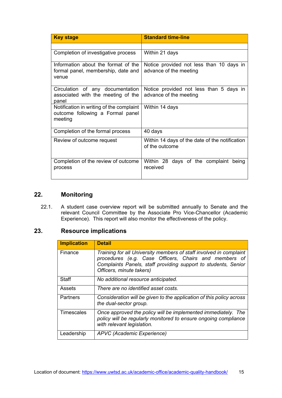| <b>Key stage</b>                                                                        | <b>Standard time-line</b>                                          |
|-----------------------------------------------------------------------------------------|--------------------------------------------------------------------|
|                                                                                         |                                                                    |
| Completion of investigative process                                                     | Within 21 days                                                     |
| Information about the format of the<br>formal panel, membership, date and<br>venue      | Notice provided not less than 10 days in<br>advance of the meeting |
| Circulation of any documentation<br>associated with the meeting of the<br>panel         | Notice provided not less than 5 days in<br>advance of the meeting  |
| Notification in writing of the complaint<br>outcome following a Formal panel<br>meeting | Within 14 days                                                     |
| Completion of the formal process                                                        | 40 days                                                            |
| Review of outcome request                                                               | Within 14 days of the date of the notification<br>of the outcome   |
| Completion of the review of outcome<br>process                                          | Within 28 days of the complaint<br>being<br>received               |

# <span id="page-14-0"></span>**22. Monitoring**

22.1. A student case overview report will be submitted annually to Senate and the relevant Council Committee by the Associate Pro Vice-Chancellor (Academic Experience). This report will also monitor the effectiveness of the policy.

# <span id="page-14-1"></span>**23. Resource implications**

| <b>Implication</b> | <b>Detail</b>                                                                                                                                                                                                             |
|--------------------|---------------------------------------------------------------------------------------------------------------------------------------------------------------------------------------------------------------------------|
| Finance            | Training for all University members of staff involved in complaint<br>procedures (e.g. Case Officers, Chairs and members of<br>Complaints Panels, staff providing support to students, Senior<br>Officers, minute takers) |
| Staff              | No additional resource anticipated.                                                                                                                                                                                       |
| Assets             | There are no identified asset costs.                                                                                                                                                                                      |
| Partners           | Consideration will be given to the application of this policy across<br>the dual-sector group.                                                                                                                            |
| <b>Timescales</b>  | Once approved the policy will be implemented immediately. The<br>policy will be regularly monitored to ensure ongoing compliance<br>with relevant legislation.                                                            |
| Leadership         | APVC (Academic Experience)                                                                                                                                                                                                |